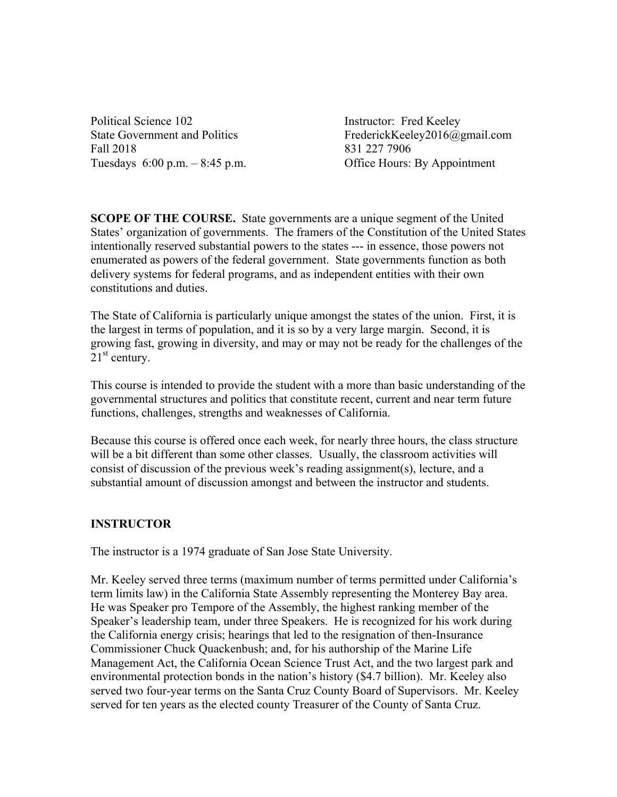Political Science 102 Instructor: Fred Keeley Fall 2018 831 227 7906 Tuesdays 6:00 p.m. – 8:45 p.m. Office Hours: By Appointment

State Government and Politics FrederickKeeley2016@gmail.com

**SCOPE OF THE COURSE.** State governments are a unique segment of the United States' organization of governments. The framers of the Constitution of the United States intentionally reserved substantial powers to the states --- in essence, those powers not enumerated as powers of the federal government. State governments function as both delivery systems for federal programs, and as independent entities with their own constitutions and duties.

The State of California is particularly unique amongst the states of the union. First, it is the largest in terms of population, and it is so by a very large margin. Second, it is growing fast, growing in diversity, and may or may not be ready for the challenges of the  $21<sup>st</sup>$  century.

This course is intended to provide the student with a more than basic understanding of the governmental structures and politics that constitute recent, current and near term future functions, challenges, strengths and weaknesses of California.

Because this course is offered once each week, for nearly three hours, the class structure will be a bit different than some other classes. Usually, the classroom activities will consist of discussion of the previous week's reading assignment(s), lecture, and a substantial amount of discussion amongst and between the instructor and students.

#### **INSTRUCTOR**

The instructor is a 1974 graduate of San Jose State University.

Mr. Keeley served three terms (maximum number of terms permitted under California's term limits law) in the California State Assembly representing the Monterey Bay area. He was Speaker pro Tempore of the Assembly, the highest ranking member of the Speaker's leadership team, under three Speakers. He is recognized for his work during the California energy crisis; hearings that led to the resignation of then-Insurance Commissioner Chuck Quackenbush; and, for his authorship of the Marine Life Management Act, the California Ocean Science Trust Act, and the two largest park and environmental protection bonds in the nation's history (\$4.7 billion). Mr. Keeley also served two four-year terms on the Santa Cruz County Board of Supervisors. Mr. Keeley served for ten years as the elected county Treasurer of the County of Santa Cruz.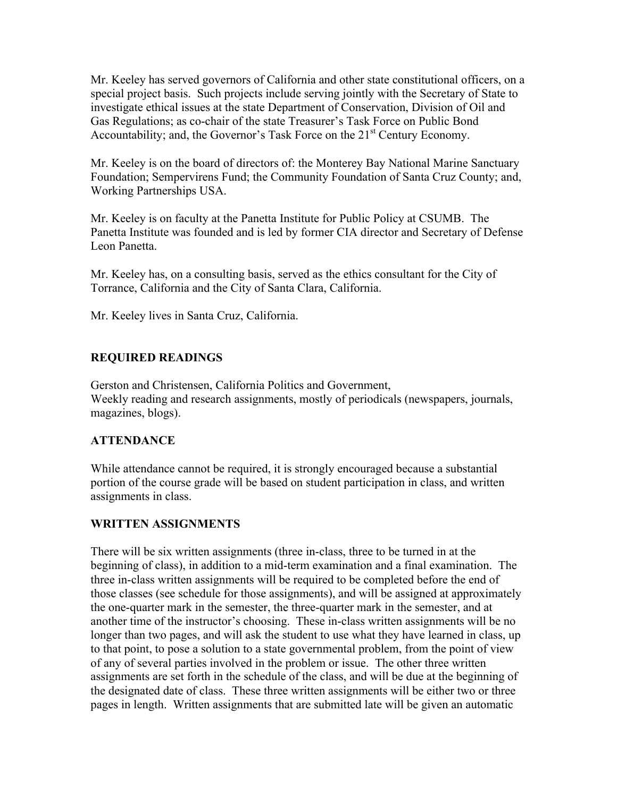Mr. Keeley has served governors of California and other state constitutional officers, on a special project basis. Such projects include serving jointly with the Secretary of State to investigate ethical issues at the state Department of Conservation, Division of Oil and Gas Regulations; as co-chair of the state Treasurer's Task Force on Public Bond Accountability; and, the Governor's Task Force on the  $21<sup>st</sup>$  Century Economy.

Mr. Keeley is on the board of directors of: the Monterey Bay National Marine Sanctuary Foundation; Sempervirens Fund; the Community Foundation of Santa Cruz County; and, Working Partnerships USA.

Mr. Keeley is on faculty at the Panetta Institute for Public Policy at CSUMB. The Panetta Institute was founded and is led by former CIA director and Secretary of Defense Leon Panetta.

Mr. Keeley has, on a consulting basis, served as the ethics consultant for the City of Torrance, California and the City of Santa Clara, California.

Mr. Keeley lives in Santa Cruz, California.

## **REQUIRED READINGS**

Gerston and Christensen, California Politics and Government, Weekly reading and research assignments, mostly of periodicals (newspapers, journals, magazines, blogs).

### **ATTENDANCE**

While attendance cannot be required, it is strongly encouraged because a substantial portion of the course grade will be based on student participation in class, and written assignments in class.

### **WRITTEN ASSIGNMENTS**

There will be six written assignments (three in-class, three to be turned in at the beginning of class), in addition to a mid-term examination and a final examination. The three in-class written assignments will be required to be completed before the end of those classes (see schedule for those assignments), and will be assigned at approximately the one-quarter mark in the semester, the three-quarter mark in the semester, and at another time of the instructor's choosing. These in-class written assignments will be no longer than two pages, and will ask the student to use what they have learned in class, up to that point, to pose a solution to a state governmental problem, from the point of view of any of several parties involved in the problem or issue. The other three written assignments are set forth in the schedule of the class, and will be due at the beginning of the designated date of class. These three written assignments will be either two or three pages in length. Written assignments that are submitted late will be given an automatic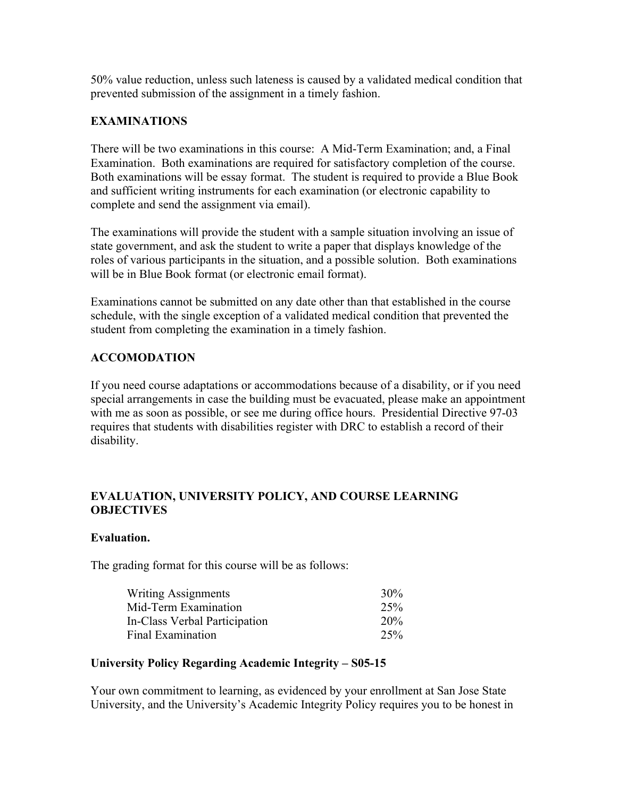50% value reduction, unless such lateness is caused by a validated medical condition that prevented submission of the assignment in a timely fashion.

### **EXAMINATIONS**

There will be two examinations in this course: A Mid-Term Examination; and, a Final Examination. Both examinations are required for satisfactory completion of the course. Both examinations will be essay format. The student is required to provide a Blue Book and sufficient writing instruments for each examination (or electronic capability to complete and send the assignment via email).

The examinations will provide the student with a sample situation involving an issue of state government, and ask the student to write a paper that displays knowledge of the roles of various participants in the situation, and a possible solution. Both examinations will be in Blue Book format (or electronic email format).

Examinations cannot be submitted on any date other than that established in the course schedule, with the single exception of a validated medical condition that prevented the student from completing the examination in a timely fashion.

# **ACCOMODATION**

If you need course adaptations or accommodations because of a disability, or if you need special arrangements in case the building must be evacuated, please make an appointment with me as soon as possible, or see me during office hours. Presidential Directive 97-03 requires that students with disabilities register with DRC to establish a record of their disability.

### **EVALUATION, UNIVERSITY POLICY, AND COURSE LEARNING OBJECTIVES**

#### **Evaluation.**

The grading format for this course will be as follows:

| <b>Writing Assignments</b>    | 30%             |
|-------------------------------|-----------------|
| Mid-Term Examination          | 25%             |
| In-Class Verbal Participation | 20 <sub>%</sub> |
| Final Examination             | 25%             |

### **University Policy Regarding Academic Integrity – S05-15**

Your own commitment to learning, as evidenced by your enrollment at San Jose State University, and the University's Academic Integrity Policy requires you to be honest in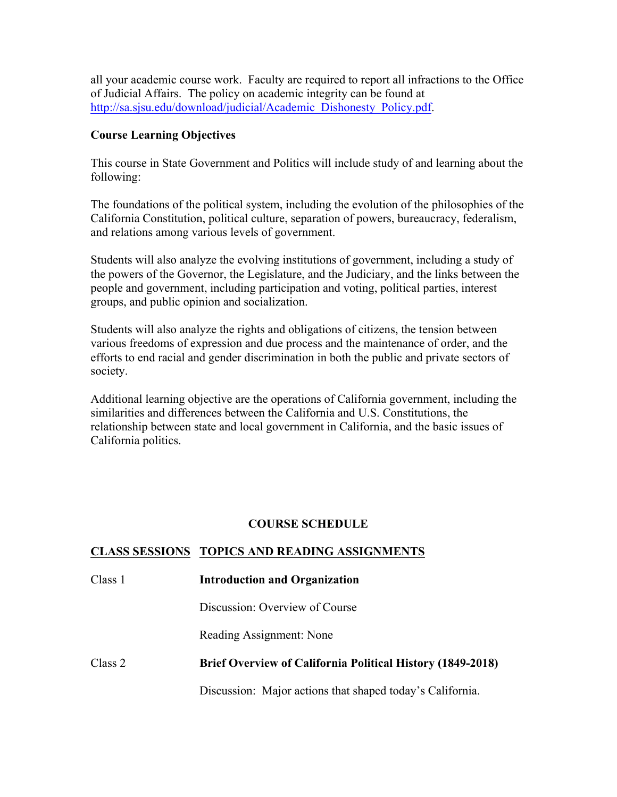all your academic course work. Faculty are required to report all infractions to the Office of Judicial Affairs. The policy on academic integrity can be found at http://sa.sjsu.edu/download/judicial/Academic\_Dishonesty\_Policy.pdf.

#### **Course Learning Objectives**

This course in State Government and Politics will include study of and learning about the following:

The foundations of the political system, including the evolution of the philosophies of the California Constitution, political culture, separation of powers, bureaucracy, federalism, and relations among various levels of government.

Students will also analyze the evolving institutions of government, including a study of the powers of the Governor, the Legislature, and the Judiciary, and the links between the people and government, including participation and voting, political parties, interest groups, and public opinion and socialization.

Students will also analyze the rights and obligations of citizens, the tension between various freedoms of expression and due process and the maintenance of order, and the efforts to end racial and gender discrimination in both the public and private sectors of society.

Additional learning objective are the operations of California government, including the similarities and differences between the California and U.S. Constitutions, the relationship between state and local government in California, and the basic issues of California politics.

### **COURSE SCHEDULE**

#### **CLASS SESSIONS TOPICS AND READING ASSIGNMENTS**

| Class 1 | <b>Introduction and Organization</b>                              |
|---------|-------------------------------------------------------------------|
|         | Discussion: Overview of Course                                    |
|         | Reading Assignment: None                                          |
| Class 2 | <b>Brief Overview of California Political History (1849-2018)</b> |
|         | Discussion: Major actions that shaped today's California.         |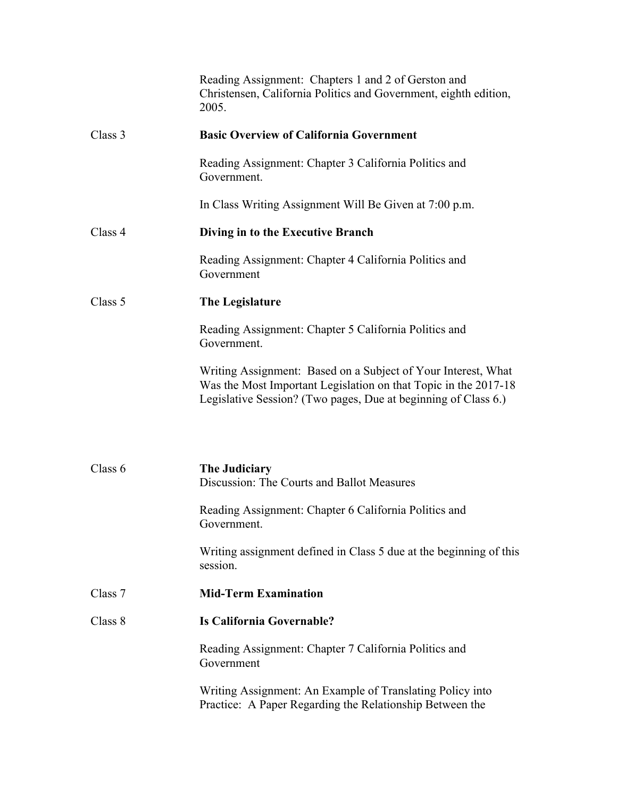|         | Reading Assignment: Chapters 1 and 2 of Gerston and<br>Christensen, California Politics and Government, eighth edition,<br>2005.                                                                   |
|---------|----------------------------------------------------------------------------------------------------------------------------------------------------------------------------------------------------|
| Class 3 | <b>Basic Overview of California Government</b>                                                                                                                                                     |
|         | Reading Assignment: Chapter 3 California Politics and<br>Government.                                                                                                                               |
|         | In Class Writing Assignment Will Be Given at 7:00 p.m.                                                                                                                                             |
| Class 4 | Diving in to the Executive Branch                                                                                                                                                                  |
|         | Reading Assignment: Chapter 4 California Politics and<br>Government                                                                                                                                |
| Class 5 | The Legislature                                                                                                                                                                                    |
|         | Reading Assignment: Chapter 5 California Politics and<br>Government.                                                                                                                               |
|         | Writing Assignment: Based on a Subject of Your Interest, What<br>Was the Most Important Legislation on that Topic in the 2017-18<br>Legislative Session? (Two pages, Due at beginning of Class 6.) |
| Class 6 | The Judiciary<br>Discussion: The Courts and Ballot Measures                                                                                                                                        |
|         | Reading Assignment: Chapter 6 California Politics and<br>Government.                                                                                                                               |
|         | Writing assignment defined in Class 5 due at the beginning of this<br>session.                                                                                                                     |
| Class 7 | <b>Mid-Term Examination</b>                                                                                                                                                                        |
| Class 8 | Is California Governable?                                                                                                                                                                          |
|         | Reading Assignment: Chapter 7 California Politics and<br>Government                                                                                                                                |
|         | Writing Assignment: An Example of Translating Policy into<br>Practice: A Paper Regarding the Relationship Between the                                                                              |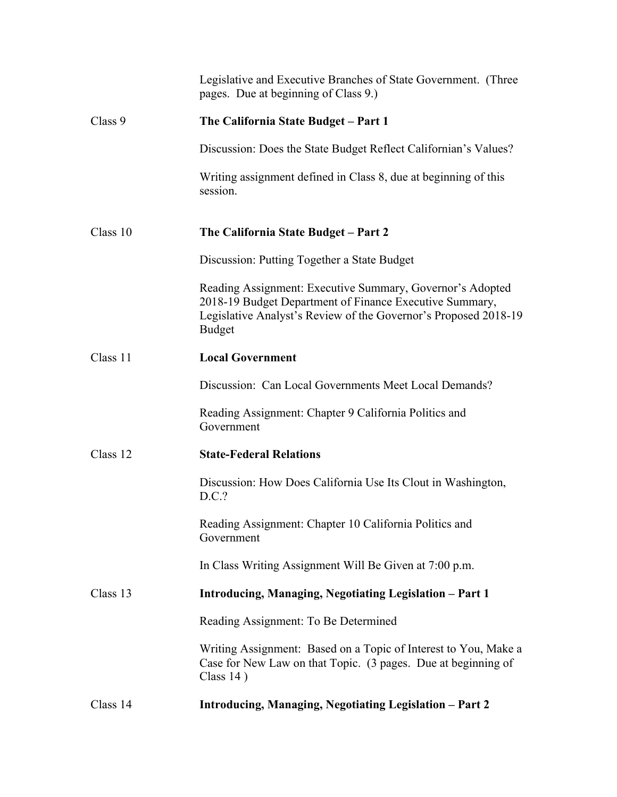|          | Legislative and Executive Branches of State Government. (Three<br>pages. Due at beginning of Class 9.)                                                                                                   |
|----------|----------------------------------------------------------------------------------------------------------------------------------------------------------------------------------------------------------|
| Class 9  | The California State Budget - Part 1                                                                                                                                                                     |
|          | Discussion: Does the State Budget Reflect Californian's Values?                                                                                                                                          |
|          | Writing assignment defined in Class 8, due at beginning of this<br>session.                                                                                                                              |
| Class 10 | The California State Budget - Part 2                                                                                                                                                                     |
|          | Discussion: Putting Together a State Budget                                                                                                                                                              |
|          | Reading Assignment: Executive Summary, Governor's Adopted<br>2018-19 Budget Department of Finance Executive Summary,<br>Legislative Analyst's Review of the Governor's Proposed 2018-19<br><b>Budget</b> |
| Class 11 | <b>Local Government</b>                                                                                                                                                                                  |
|          | Discussion: Can Local Governments Meet Local Demands?                                                                                                                                                    |
|          | Reading Assignment: Chapter 9 California Politics and<br>Government                                                                                                                                      |
| Class 12 | <b>State-Federal Relations</b>                                                                                                                                                                           |
|          | Discussion: How Does California Use Its Clout in Washington,<br>D.C.?                                                                                                                                    |
|          | Reading Assignment: Chapter 10 California Politics and<br>Government                                                                                                                                     |
|          | In Class Writing Assignment Will Be Given at 7:00 p.m.                                                                                                                                                   |
| Class 13 | Introducing, Managing, Negotiating Legislation - Part 1                                                                                                                                                  |
|          | Reading Assignment: To Be Determined                                                                                                                                                                     |
|          | Writing Assignment: Based on a Topic of Interest to You, Make a<br>Case for New Law on that Topic. (3 pages. Due at beginning of<br>Class $14$ )                                                         |
| Class 14 | Introducing, Managing, Negotiating Legislation - Part 2                                                                                                                                                  |